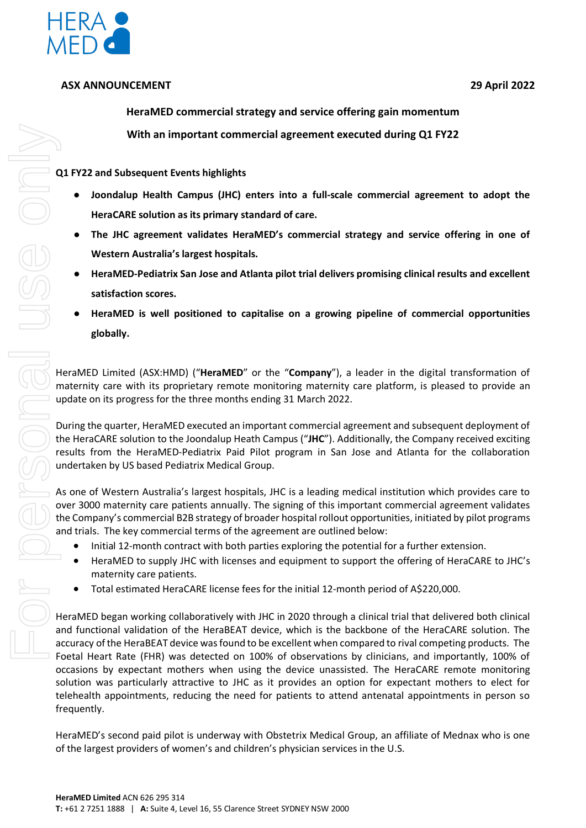

## **ASX ANNOUNCEMENT 29 April 2022**

**HeraMED commercial strategy and service offering gain momentum With an important commercial agreement executed during Q1 FY22** 

**Q1 FY22 and Subsequent Events highlights**

- **Joondalup Health Campus (JHC) enters into a full-scale commercial agreement to adopt the HeraCARE solution as its primary standard of care.**
- The JHC agreement validates HeraMED's commercial strategy and service offering in one of **Western Australia's largest hospitals.**
- **HeraMED-Pediatrix San Jose and Atlanta pilot trial delivers promising clinical results and excellent satisfaction scores.**
- **HeraMED is well positioned to capitalise on a growing pipeline of commercial opportunities globally.**

HeraMED Limited (ASX:HMD) ("**HeraMED**" or the "**Company**"), a leader in the digital transformation of maternity care with its proprietary remote monitoring maternity care platform, is pleased to provide an update on its progress for the three months ending 31 March 2022.

During the quarter, HeraMED executed an important commercial agreement and subsequent deployment of the HeraCARE solution to the Joondalup Heath Campus ("**JHC**"). Additionally, the Company received exciting results from the HeraMED-Pediatrix Paid Pilot program in San Jose and Atlanta for the collaboration undertaken by US based Pediatrix Medical Group.

As one of Western Australia's largest hospitals, JHC is a leading medical institution which provides care to over 3000 maternity care patients annually. The signing of this important commercial agreement validates the Company's commercial B2B strategy of broader hospital rollout opportunities, initiated by pilot programs and trials. The key commercial terms of the agreement are outlined below:

- Initial 12-month contract with both parties exploring the potential for a further extension.
- HeraMED to supply JHC with licenses and equipment to support the offering of HeraCARE to JHC's maternity care patients.
- Total estimated HeraCARE license fees for the initial 12-month period of A\$220,000.

HeraMED began working collaboratively with JHC in 2020 through a clinical trial that delivered both clinical and functional validation of the HeraBEAT device, which is the backbone of the HeraCARE solution. The accuracy of the HeraBEAT device was found to be excellent when compared to rival competing products. The Foetal Heart Rate (FHR) was detected on 100% of observations by clinicians, and importantly, 100% of occasions by expectant mothers when using the device unassisted. The HeraCARE remote monitoring solution was particularly attractive to JHC as it provides an option for expectant mothers to elect for telehealth appointments, reducing the need for patients to attend antenatal appointments in person so frequently. With an important commercial agreement executed duri<br>
Q1 FY22 and Subsequent Events highlights<br>
• Joondalup Health Campus (JHC) enters into a full-scale commercial<br>
HereLARE solution as its primary standard of care.<br>
• The

HeraMED's second paid pilot is underway with Obstetrix Medical Group, an affiliate of Mednax who is one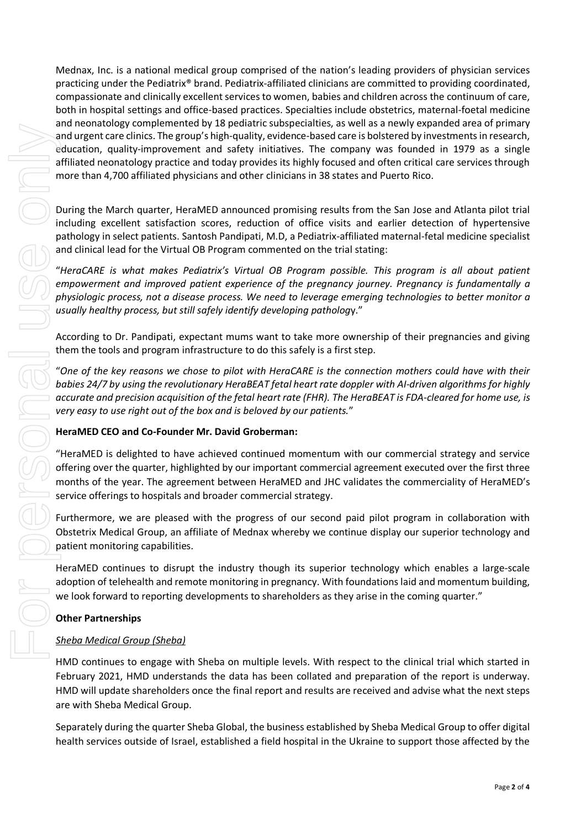Mednax, Inc. is a national medical group comprised of the nation's leading providers of physician services practicing under the Pediatrix® brand. Pediatrix-affiliated clinicians are committed to providing coordinated, compassionate and clinically excellent services to women, babies and children across the continuum of care, both in hospital settings and office-based practices. Specialties include obstetrics, maternal-foetal medicine and neonatology complemented by 18 pediatric subspecialties, as well as a newly expanded area of primary and urgent care clinics. The group's high-quality, evidence-based care is bolstered by investments in research, education, quality-improvement and safety initiatives. The company was founded in 1979 as a single affiliated neonatology practice and today provides its highly focused and often critical care services through more than 4,700 affiliated physicians and other clinicians in 38 states and Puerto Rico. and ungert care dimension of the formula in the person of Israel, established by the constraints in the Ukraine Theorem is the Ukraine Christian in the Ukraine Christian in the Ukraine Christian in the Ukraine Christian In

During the March quarter, HeraMED announced promising results from the San Jose and Atlanta pilot trial including excellent satisfaction scores, reduction of office visits and earlier detection of hypertensive pathology in select patients. Santosh Pandipati, M.D, a Pediatrix-affiliated maternal-fetal medicine specialist and clinical lead for the Virtual OB Program commented on the trial stating:

"*HeraCARE is what makes Pediatrix's Virtual OB Program possible. This program is all about patient empowerment and improved patient experience of the pregnancy journey. Pregnancy is fundamentally a physiologic process, not a disease process. We need to leverage emerging technologies to better monitor a usually healthy process, but still safely identify developing patholog*y."

According to Dr. Pandipati, expectant mums want to take more ownership of their pregnancies and giving them the tools and program infrastructure to do this safely is a first step.

"*One of the key reasons we chose to pilot with HeraCARE is the connection mothers could have with their babies 24/7 by using the revolutionary HeraBEAT fetal heart rate doppler with AI-driven algorithms for highly accurate and precision acquisition of the fetal heart rate (FHR). The HeraBEAT is FDA-cleared for home use, is very easy to use right out of the box and is beloved by our patients.*"

#### **HeraMED CEO and Co-Founder Mr. David Groberman:**

"HeraMED is delighted to have achieved continued momentum with our commercial strategy and service offering over the quarter, highlighted by our important commercial agreement executed over the first three months of the year. The agreement between HeraMED and JHC validates the commerciality of HeraMED's service offerings to hospitals and broader commercial strategy.

Furthermore, we are pleased with the progress of our second paid pilot program in collaboration with Obstetrix Medical Group, an affiliate of Mednax whereby we continue display our superior technology and patient monitoring capabilities.

HeraMED continues to disrupt the industry though its superior technology which enables a large-scale adoption of telehealth and remote monitoring in pregnancy. With foundations laid and momentum building, we look forward to reporting developments to shareholders as they arise in the coming quarter."

#### **Other Partnerships**

#### *Sheba Medical Group (Sheba)*

HMD continues to engage with Sheba on multiple levels. With respect to the clinical trial which started in February 2021, HMD understands the data has been collated and preparation of the report is underway. HMD will update shareholders once the final report and results are received and advise what the next steps are with Sheba Medical Group.

Separately during the quarter Sheba Global, the business established by Sheba Medical Group to offer digital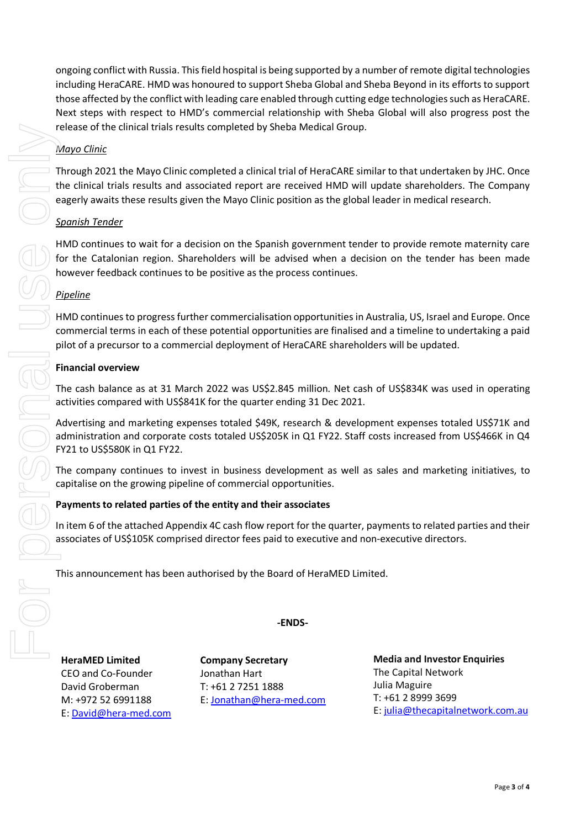ongoing conflict with Russia. This field hospital is being supported by a number of remote digital technologies including HeraCARE. HMD was honoured to support Sheba Global and Sheba Beyond in its efforts to support those affected by the conflict with leading care enabled through cutting edge technologies such as HeraCARE. Next steps with respect to HMD's commercial relationship with Sheba Global will also progress post the release of the clinical trials results completed by Sheba Medical Group.

## *Mayo Clinic*

Through 2021 the Mayo Clinic completed a clinical trial of HeraCARE similar to that undertaken by JHC. Once the clinical trials results and associated report are received HMD will update shareholders. The Company eagerly awaits these results given the Mayo Clinic position as the global leader in medical research.

## *Spanish Tender*

HMD continues to wait for a decision on the Spanish government tender to provide remote maternity care for the Catalonian region. Shareholders will be advised when a decision on the tender has been made however feedback continues to be positive as the process continues.

## *Pipeline*

HMD continues to progress further commercialisation opportunities in Australia, US, Israel and Europe. Once commercial terms in each of these potential opportunities are finalised and a timeline to undertaking a paid pilot of a precursor to a commercial deployment of HeraCARE shareholders will be updated.

## **Financial overview**

The cash balance as at 31 March 2022 was US\$2.845 million. Net cash of US\$834K was used in operating activities compared with US\$841K for the quarter ending 31 Dec 2021.

Advertising and marketing expenses totaled \$49K, research & development expenses totaled US\$71K and administration and corporate costs totaled US\$205K in Q1 FY22. Staff costs increased from US\$466K in Q4 FY21 to US\$580K in Q1 FY22.

The company continues to invest in business development as well as sales and marketing initiatives, to capitalise on the growing pipeline of commercial opportunities.

## **Payments to related parties of the entity and their associates**

In item 6 of the attached Appendix 4C cash flow report for the quarter, payments to related parties and their associates of US\$105K comprised director fees paid to executive and non-executive directors.

**-ENDS-**

This announcement has been authorised by the Board of HeraMED Limited.

**HeraMED Limited** CEO and Co-Founder David Groberman M: +972 52 6991188 E: [David@hera-med.com](mailto:David@hera-med.com)

**Company Secretary**  Jonathan Hart T: +61 2 7251 1888 E: [Jonathan@hera-med.com](mailto:Jonathan@hera-med.com) **Media and Investor Enquiries** The Capital Network Julia Maguire T: +61 2 8999 3699 E: [julia@thecapitalnetwork.com.au](mailto:julia@thecapitalnetwork.com.au)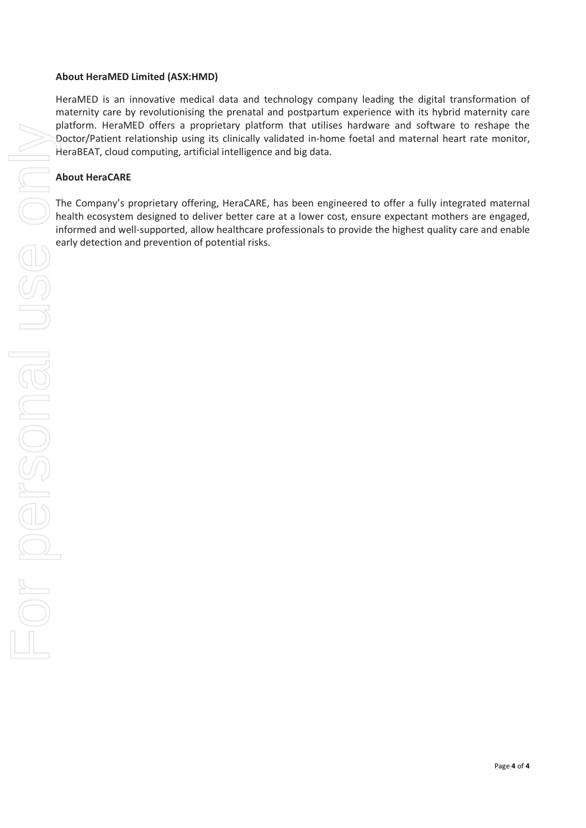#### **About HeraMED Limited (ASX:HMD)**

HeraMED is an innovative medical data and technology company leading the digital transformation of maternity care by revolutionising the prenatal and postpartum experience with its hybrid maternity care platform. HeraMED offers a proprietary platform that utilises hardware and software to reshape the Doctor/Patient relationship using its clinically validated in-home foetal and maternal heart rate monitor, HeraBEAT, cloud computing, artificial intelligence and big data.

#### **About HeraCARE**

The Company's proprietary offering, HeraCARE, has been engineered to offer a fully integrated maternal health ecosystem designed to deliver better care at a lower cost, ensure expectant mothers are engaged, informed and well-supported, allow healthcare professionals to provide the highest quality care and enable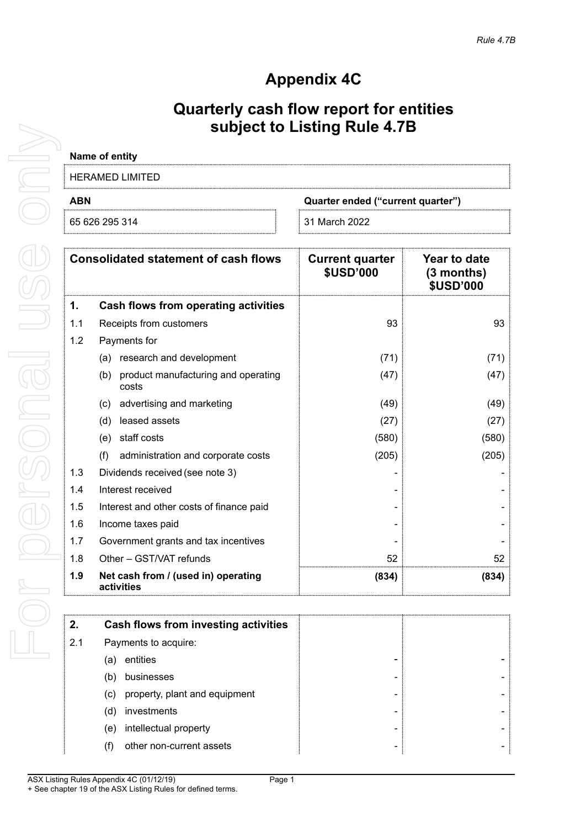# **Appendix 4C**

## **Quarterly cash flow report for entities subject to Listing Rule 4.7B**

| Name of entity                                  |                 |
|-------------------------------------------------|-----------------|
| HERAMED LIMITED                                 |                 |
| <b>ABN</b><br>Quarter ended ("current quarter") |                 |
| 65 626 295 314                                  | i 31 March 2022 |

|     | <b>Consolidated statement of cash flows</b>         | <b>Current quarter</b><br><b>\$USD'000</b> | Year to date<br>(3 months)<br>\$USD'000 |
|-----|-----------------------------------------------------|--------------------------------------------|-----------------------------------------|
| 1.  | Cash flows from operating activities                |                                            |                                         |
| 1.1 | Receipts from customers                             | 93                                         | 93                                      |
| 1.2 | Payments for                                        |                                            |                                         |
|     | (a) research and development                        | (71)                                       | (71)                                    |
|     | product manufacturing and operating<br>(b)<br>costs | (47)                                       | (47)                                    |
|     | advertising and marketing<br>(C)                    | (49)                                       | (49)                                    |
|     | leased assets<br>(d)                                | (27)                                       | (27)                                    |
|     | staff costs<br>(e)                                  | (580)                                      | (580)                                   |
|     | (f)<br>administration and corporate costs           | (205)                                      | (205)                                   |
| 1.3 | Dividends received (see note 3)                     |                                            |                                         |
| 1.4 | Interest received                                   |                                            |                                         |
| 1.5 | Interest and other costs of finance paid            |                                            |                                         |
| 1.6 | Income taxes paid                                   |                                            |                                         |
| 1.7 | Government grants and tax incentives                |                                            |                                         |
| 1.8 | Other - GST/VAT refunds                             | 52                                         | 52                                      |
| 1.9 | Net cash from / (used in) operating<br>activities   | (834)                                      | (834)                                   |

| 2.  | Cash flows from investing activities |  |
|-----|--------------------------------------|--|
| 2.1 | Payments to acquire:                 |  |
|     | entities<br>(a)                      |  |
|     | businesses<br>(b)                    |  |
|     | property, plant and equipment<br>(C) |  |
|     | investments<br>(d)                   |  |
|     | intellectual property<br>(e)         |  |
|     | other non-current assets             |  |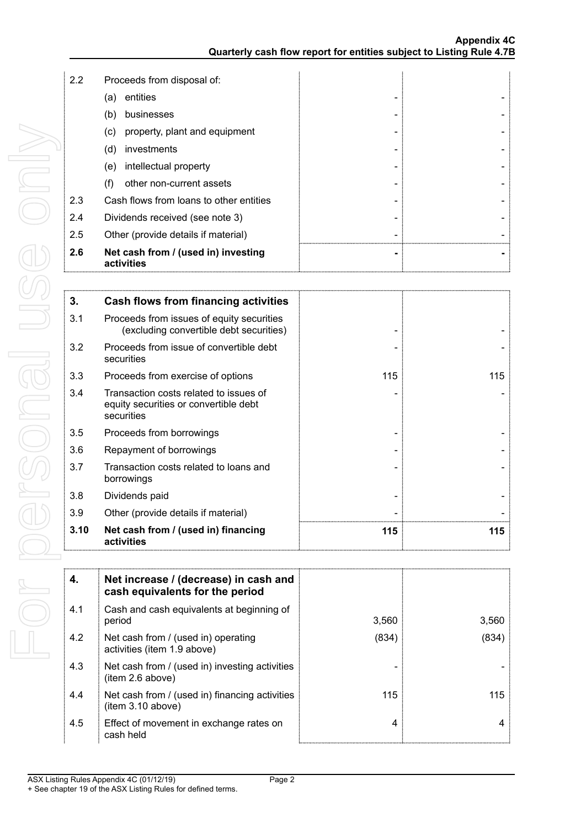| 2.2 | Proceeds from disposal of:                         |  |  |
|-----|----------------------------------------------------|--|--|
|     | entities<br>(a)                                    |  |  |
|     | businesses<br>(b)                                  |  |  |
|     | property, plant and equipment<br>$\left( c\right)$ |  |  |
|     | investments<br>(d)                                 |  |  |
|     | intellectual property<br>(e)                       |  |  |
|     | other non-current assets                           |  |  |
| 2.3 | Cash flows from loans to other entities            |  |  |
| 2.4 | Dividends received (see note 3)                    |  |  |
| 2.5 | Other (provide details if material)                |  |  |
| 2.6 | Net cash from / (used in) investing<br>activities  |  |  |

| 3.   | Cash flows from financing activities                                                          |     |     |
|------|-----------------------------------------------------------------------------------------------|-----|-----|
| 3.1  | Proceeds from issues of equity securities<br>(excluding convertible debt securities)          |     |     |
| 3.2  | Proceeds from issue of convertible debt<br>securities                                         |     |     |
| 3.3  | Proceeds from exercise of options                                                             | 115 | 115 |
| 3.4  | Transaction costs related to issues of<br>equity securities or convertible debt<br>securities |     |     |
| 3.5  | Proceeds from borrowings                                                                      |     |     |
| 3.6  | Repayment of borrowings                                                                       |     |     |
| 3.7  | Transaction costs related to loans and<br>borrowings                                          |     |     |
| 3.8  | Dividends paid                                                                                |     |     |
| 3.9  | Other (provide details if material)                                                           |     |     |
| 3.10 | Net cash from / (used in) financing<br>activities                                             | 115 | 115 |

| 4.  | Net increase / (decrease) in cash and<br>cash equivalents for the period |       |       |
|-----|--------------------------------------------------------------------------|-------|-------|
| 4.1 | Cash and cash equivalents at beginning of<br>period                      | 3,560 | 3,560 |
| 4.2 | Net cash from / (used in) operating<br>activities (item 1.9 above)       | (834) | (834) |
| 4.3 | Net cash from / (used in) investing activities<br>item 2.6 above)        |       |       |
| 4.4 | Net cash from / (used in) financing activities<br>item 3.10 above)       | 115   | 115   |
| 4.5 | Effect of movement in exchange rates on<br>cash held                     | 4     |       |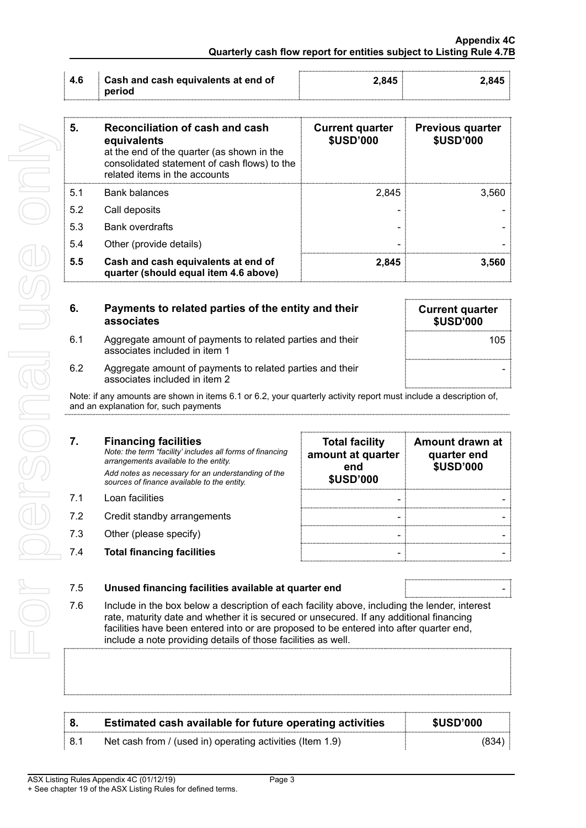| : 4.6 | Cash and cash equivalents at end of | 845 |  |
|-------|-------------------------------------|-----|--|
|       | period                              |     |  |

| 5.  | <b>Reconciliation of cash and cash</b><br>equivalents<br>at the end of the quarter (as shown in the<br>consolidated statement of cash flows) to the<br>related items in the accounts | <b>Current quarter</b><br><b>\$USD'000</b> | <b>Previous quarter</b><br><b>\$USD'000</b> |
|-----|--------------------------------------------------------------------------------------------------------------------------------------------------------------------------------------|--------------------------------------------|---------------------------------------------|
| 51  | <b>Bank balances</b>                                                                                                                                                                 | 2.845                                      | 3.560                                       |
| 5.2 | Call deposits                                                                                                                                                                        |                                            |                                             |
| 5.3 | <b>Bank overdrafts</b>                                                                                                                                                               |                                            |                                             |
| 5.4 | Other (provide details)                                                                                                                                                              |                                            |                                             |
| 5.5 | Cash and cash equivalents at end of<br>quarter (should equal item 4.6 above)                                                                                                         | 2.845                                      | 3.560                                       |

| 6.  | Payments to related parties of the entity and their<br>associates                          | <b>Current quarter</b><br><b>\$USD'000</b> |
|-----|--------------------------------------------------------------------------------------------|--------------------------------------------|
| 6.1 | Aggregate amount of payments to related parties and their<br>associates included in item 1 | 105                                        |
| 6.2 | Aggregate amount of payments to related parties and their<br>associates included in item 2 |                                            |

| 5.  | Reconciliation of cash and cash<br>equivalents<br>at the end of the quarter (as shown in the<br>consolidated statement of cash flows) to the<br>related items in the accounts                                                                                                                                                                        | <b>Current quarter</b><br><b>\$USD'000</b>                            | <b>Previous quarter</b><br><b>\$USD'000</b>        |
|-----|------------------------------------------------------------------------------------------------------------------------------------------------------------------------------------------------------------------------------------------------------------------------------------------------------------------------------------------------------|-----------------------------------------------------------------------|----------------------------------------------------|
| 5.1 | <b>Bank balances</b>                                                                                                                                                                                                                                                                                                                                 | 2,845                                                                 | 3,560                                              |
| 5.2 | Call deposits                                                                                                                                                                                                                                                                                                                                        |                                                                       |                                                    |
| 5.3 | <b>Bank overdrafts</b>                                                                                                                                                                                                                                                                                                                               |                                                                       |                                                    |
| 5.4 | Other (provide details)                                                                                                                                                                                                                                                                                                                              |                                                                       |                                                    |
| 5.5 | Cash and cash equivalents at end of<br>quarter (should equal item 4.6 above)                                                                                                                                                                                                                                                                         | 2,845                                                                 | 3,560                                              |
| 6.  | Payments to related parties of the entity and their<br>associates                                                                                                                                                                                                                                                                                    |                                                                       | <b>Current quarter</b><br><b>\$USD'000</b>         |
| 6.1 | Aggregate amount of payments to related parties and their<br>associates included in item 1                                                                                                                                                                                                                                                           |                                                                       | 105                                                |
| 6.2 | Aggregate amount of payments to related parties and their<br>associates included in item 2                                                                                                                                                                                                                                                           |                                                                       |                                                    |
|     | Note: if any amounts are shown in items 6.1 or 6.2, your quarterly activity report must include a description of,<br>and an explanation for, such payments                                                                                                                                                                                           |                                                                       |                                                    |
| 7.  | <b>Financing facilities</b><br>Note: the term "facility' includes all forms of financing<br>arrangements available to the entity.<br>Add notes as necessary for an understanding of the<br>sources of finance available to the entity.                                                                                                               | <b>Total facility</b><br>amount at quarter<br>end<br><b>\$USD'000</b> | Amount drawn at<br>quarter end<br><b>\$USD'000</b> |
| 7.1 | Loan facilities                                                                                                                                                                                                                                                                                                                                      |                                                                       |                                                    |
| 7.2 | Credit standby arrangements                                                                                                                                                                                                                                                                                                                          |                                                                       |                                                    |
| 7.3 | Other (please specify)                                                                                                                                                                                                                                                                                                                               |                                                                       |                                                    |
| 7.4 | <b>Total financing facilities</b>                                                                                                                                                                                                                                                                                                                    |                                                                       |                                                    |
| 7.5 | Unused financing facilities available at quarter end                                                                                                                                                                                                                                                                                                 |                                                                       |                                                    |
| 7.6 | Include in the box below a description of each facility above, including the lender, interest<br>rate, maturity date and whether it is secured or unsecured. If any additional financing<br>facilities have been entered into or are proposed to be entered into after quarter end,<br>include a note providing details of those facilities as well. |                                                                       |                                                    |
|     |                                                                                                                                                                                                                                                                                                                                                      |                                                                       |                                                    |
| 8.  | <b>Estimated cash available for future operating activities</b>                                                                                                                                                                                                                                                                                      |                                                                       | <b>\$USD'000</b>                                   |
|     |                                                                                                                                                                                                                                                                                                                                                      |                                                                       |                                                    |

|       | Estimated cash available for future operating activities  | \$USD'000 |
|-------|-----------------------------------------------------------|-----------|
| : 8.1 | Net cash from / (used in) operating activities (Item 1.9) | (834      |